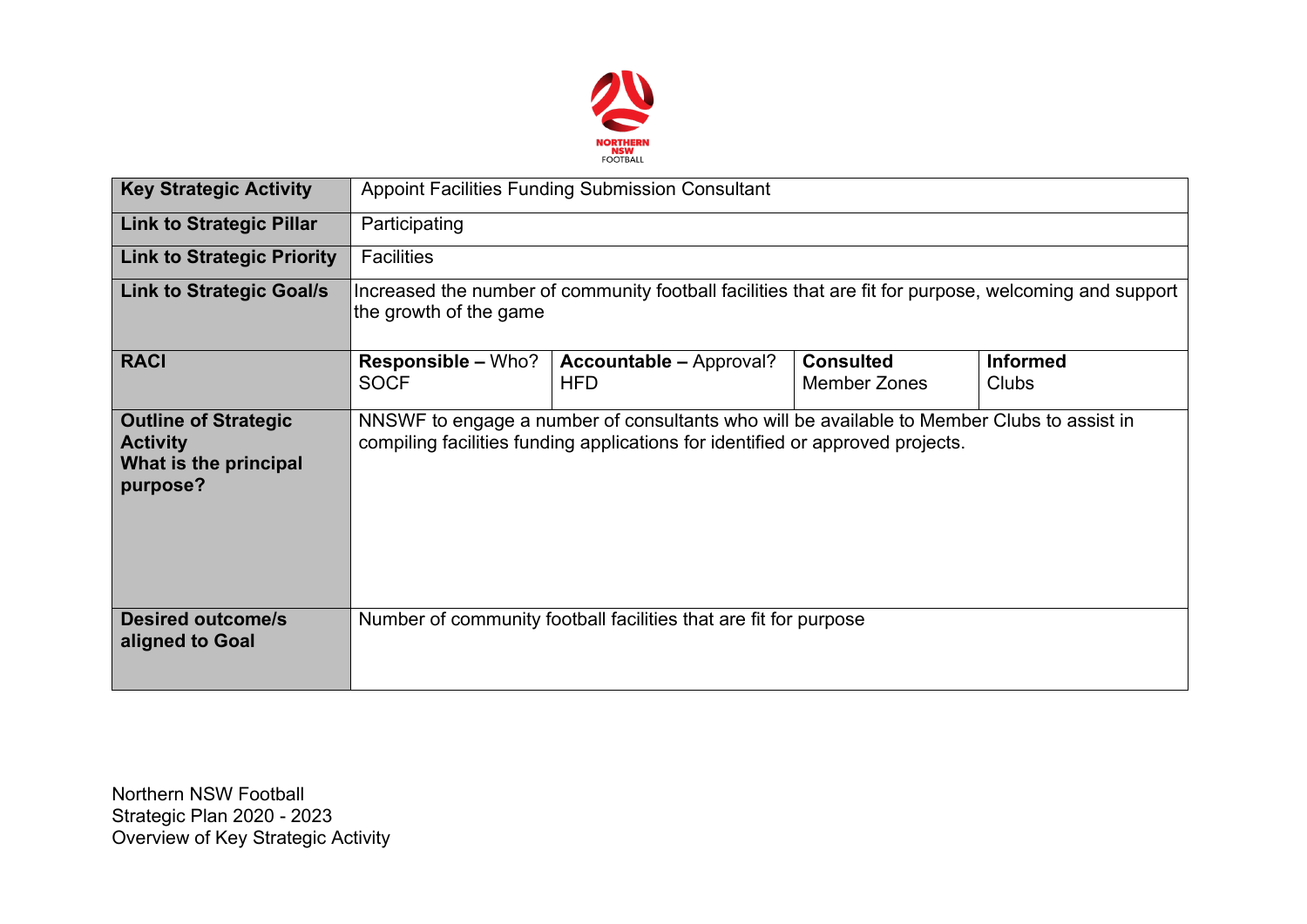

| <b>Key Strategic Activity</b>                                                       | <b>Appoint Facilities Funding Submission Consultant</b>                                                                                                                      |                                                                  |                                         |                                 |  |  |  |  |
|-------------------------------------------------------------------------------------|------------------------------------------------------------------------------------------------------------------------------------------------------------------------------|------------------------------------------------------------------|-----------------------------------------|---------------------------------|--|--|--|--|
| <b>Link to Strategic Pillar</b>                                                     | Participating                                                                                                                                                                |                                                                  |                                         |                                 |  |  |  |  |
| <b>Link to Strategic Priority</b>                                                   | <b>Facilities</b>                                                                                                                                                            |                                                                  |                                         |                                 |  |  |  |  |
| <b>Link to Strategic Goal/s</b>                                                     | Increased the number of community football facilities that are fit for purpose, welcoming and support<br>the growth of the game                                              |                                                                  |                                         |                                 |  |  |  |  |
| <b>RACI</b>                                                                         | <b>Responsible - Who?</b><br><b>SOCF</b>                                                                                                                                     | <b>Accountable - Approval?</b><br><b>HFD</b>                     | <b>Consulted</b><br><b>Member Zones</b> | <b>Informed</b><br><b>Clubs</b> |  |  |  |  |
| <b>Outline of Strategic</b><br><b>Activity</b><br>What is the principal<br>purpose? | NNSWF to engage a number of consultants who will be available to Member Clubs to assist in<br>compiling facilities funding applications for identified or approved projects. |                                                                  |                                         |                                 |  |  |  |  |
| <b>Desired outcome/s</b><br>aligned to Goal                                         |                                                                                                                                                                              | Number of community football facilities that are fit for purpose |                                         |                                 |  |  |  |  |

Northern NSW Football Strategic Plan 2020 - 2023 Overview of Key Strategic Activity